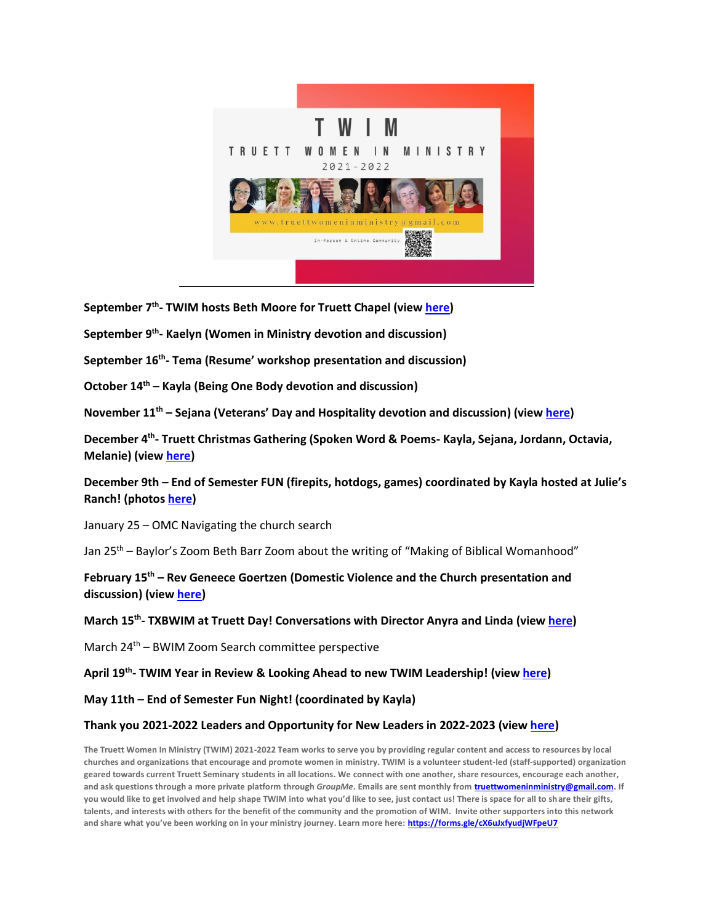

**September 7 th - TWIM hosts Beth Moore for Truett Chapel (view [here\)](https://fb.watch/bZItk5rmV_/)**

**September 9th - Kaelyn (Women in Ministry devotion and discussion)**

**September 16th - Tema (Resume' workshop presentation and discussion)**

**October 14th – Kayla (Being One Body devotion and discussion)**

**November 11th – Sejana (Veterans' Day and Hospitality devotion and discussion) (view [here\)](https://youtu.be/-vI3_G2Lrg0)**

**December 4th - Truett Christmas Gathering (Spoken Word & Poems- Kayla, Sejana, Jordann, Octavia, Melanie) (view [here\)](https://www.youtube.com/watch?v=773YAg595m0)**

**December 9th – End of Semester FUN (firepits, hotdogs, games) coordinated by Kayla hosted at Julie's Ranch! (photos [here\)](https://www.instagram.com/p/CXUAKAopdH1/)**

January 25 – OMC Navigating the church search

Jan 25<sup>th</sup> – Baylor's Zoom Beth Barr Zoom about the writing of "Making of Biblical Womanhood"

**February 15th – Rev Geneece Goertzen (Domestic Violence and the Church presentation and discussion) (view [here\)](https://youtu.be/UML44JNWN9k)**

**March 15th - TXBWIM at Truett Day! Conversations with Director Anyra and Linda (view [here\)](https://www.facebook.com/permalink.php?story_fbid=4906666502762673&id=115805878515450)**

March 24<sup>th</sup> – BWIM Zoom Search committee perspective

**April 19th - TWIM Year in Review & Looking Ahead to new TWIM Leadership! (vie[w here\)](https://www.youtube.com/watch?v=2BFl7wHpCTU)**

**May 11th – End of Semester Fun Night! (coordinated by Kayla)**

## **Thank you 2021-2022 Leaders and Opportunity for New Leaders in 2022-2023 (view [here\)](https://www.baylor.edu/truett/doc.php/394352.pdf)**

**The Truett Women In Ministry (TWIM) 2021-2022 Team works to serve you by providing regular content and access to resources by local churches and organizations that encourage and promote women in ministry. TWIM is a volunteer student-led (staff-supported) organization geared towards current Truett Seminary students in all locations. We connect with one another, share resources, encourage each another, and ask questions through a more private platform through** *GroupMe***. Emails are sent monthly from [truettwomeninministry@gmail.com.](mailto:truettwomeninministry@gmail.com) If you would like to get involved and help shape TWIM into what you'd like to see, just contact us! There is space for all to share their gifts, talents, and interests with others for the benefit of the community and the promotion of WIM. Invite other supporters into this network and share what you've been working on in your ministry journey. Learn more here: [https://forms.gle/cX6uJxfyudjWFpeU7](https://nam02.safelinks.protection.outlook.com/?url=https%3A%2F%2Fforms.gle%2FcX6uJxfyudjWFpeU7&data=04%7C01%7Csejana_yoo1%40baylor.edu%7C6d4eae19bc9d4c5dc14608d9fd86e154%7C22d2fb35256a459bbcf4dc23d42dc0a4%7C0%7C0%7C637819579244253075%7CUnknown%7CTWFpbGZsb3d8eyJWIjoiMC4wLjAwMDAiLCJQIjoiV2luMzIiLCJBTiI6Ik1haWwiLCJXVCI6Mn0%3D%7C3000&sdata=iaGBxn%2BDS9QQy5npyz1ZZZUvHi7pwLk0d%2BTLYTW4uDU%3D&reserved=0)**